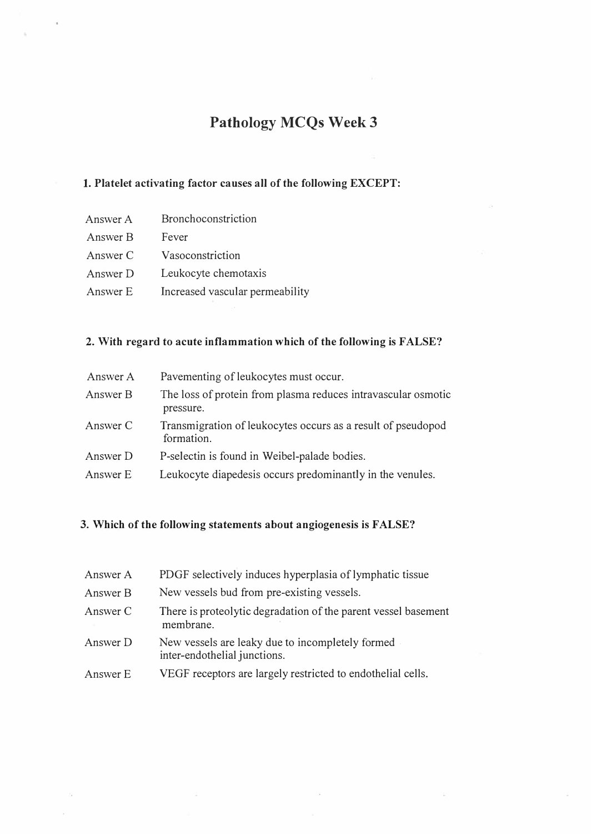# Pathology MCQs Week 3

## 1. Platelet activating factor causes all of the following EXCEPT:

- Answer A Bronchoconstriction
- Answer B Fever
- Answer C Vasoconstriction
- Answer D Leukocyte chemotaxis
- Answer E Increased vascular permeability

### 2. With regard to acute inflammation which of the following is FALSE?

| Answer A | Pavementing of leukocytes must occur.                                      |
|----------|----------------------------------------------------------------------------|
| Answer B | The loss of protein from plasma reduces intravascular osmotic<br>pressure. |
| Answer C | Transmigration of leukocytes occurs as a result of pseudopod<br>formation. |
| Answer D | P-selectin is found in Weibel-palade bodies.                               |
| Answer E | Leukocyte diapedesis occurs predominantly in the venules.                  |

### 3. Which of the following statements about angiogenesis is FALSE?

| Answer A | PDGF selectively induces hyperplasia of lymphatic tissue                         |
|----------|----------------------------------------------------------------------------------|
| Answer B | New vessels bud from pre-existing vessels.                                       |
| Answer C | There is proteolytic degradation of the parent vessel basement<br>membrane.      |
| Answer D | New vessels are leaky due to incompletely formed<br>inter-endothelial junctions. |
| Answer E | VEGF receptors are largely restricted to endothelial cells.                      |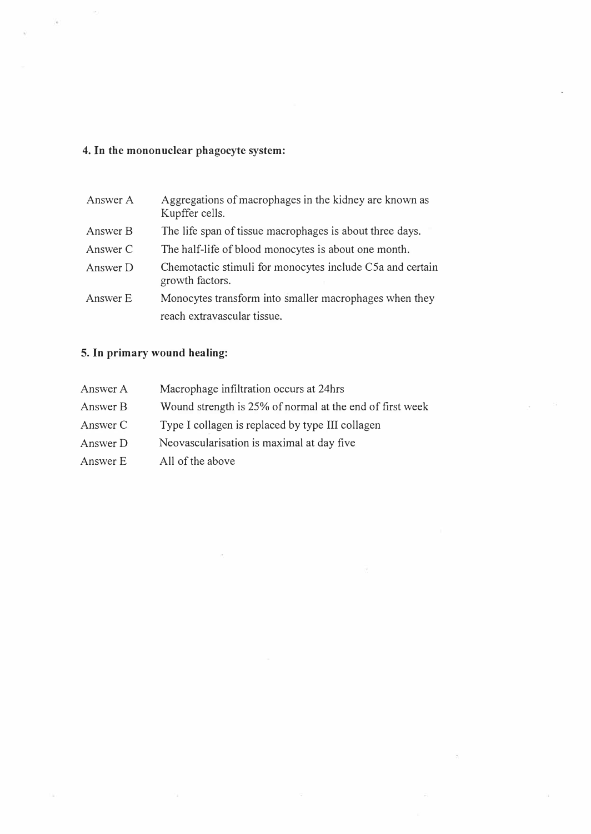## 4. In the mononuclear phagocyte system:

 $\langle \epsilon$ 

| Answer A | Aggregations of macrophages in the kidney are known as<br>Kupffer cells.     |
|----------|------------------------------------------------------------------------------|
| Answer B | The life span of tissue macrophages is about three days.                     |
| Answer C | The half-life of blood monocytes is about one month.                         |
| Answer D | Chemotactic stimuli for monocytes include C5a and certain<br>growth factors. |
| Answer E | Monocytes transform into smaller macrophages when they                       |
|          | reach extravascular tissue.                                                  |

# 5. In primary wound healing:

| Answer A | Macrophage infiltration occurs at 24hrs                  |
|----------|----------------------------------------------------------|
| Answer B | Wound strength is 25% of normal at the end of first week |
| Answer C | Type I collagen is replaced by type III collagen         |
| Answer D | Neovascularisation is maximal at day five                |
| Answer E | All of the above                                         |